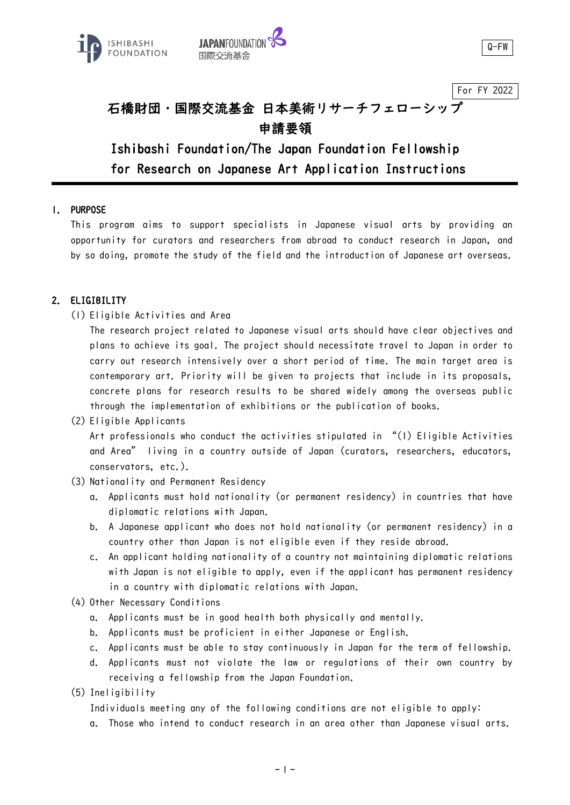



### For FY 2022

# 石橋財団・国際交流基金 日本美術リサーチフェローシップ 申請要領

## Ishibashi Foundation/The Japan Foundation Fellowship for Research on Japanese Art Application Instructions

### 1. PURPOSE

This program aims to support specialists in Japanese visual arts by providing an opportunity for curators and researchers from abroad to conduct research in Japan, and by so doing, promote the study of the field and the introduction of Japanese art overseas.

### 2. ELIGIBILITY

(1) Eligible Activities and Area

The research project related to Japanese visual arts should have clear objectives and plans to achieve its goal. The project should necessitate travel to Japan in order to carry out research intensively over a short period of time. The main target area is contemporary art. Priority will be given to projects that include in its proposals, concrete plans for research results to be shared widely among the overseas public through the implementation of exhibitions or the publication of books.

(2) Eligible Applicants

Art professionals who conduct the activities stipulated in "(1) Eligible Activities and Area" living in a country outside of Japan (curators, researchers, educators, conservators, etc.).

- (3) Nationality and Permanent Residency
	- a. Applicants must hold nationality (or permanent residency) in countries that have diplomatic relations with Japan.
	- b. A Japanese applicant who does not hold nationality (or permanent residency) in a country other than Japan is not eligible even if they reside abroad.
	- c. An applicant holding nationality of a country not maintaining diplomatic relations with Japan is not eligible to apply, even if the applicant has permanent residency in a country with diplomatic relations with Japan.
- (4) Other Necessary Conditions
	- a. Applicants must be in good health both physically and mentally.
	- b. Applicants must be proficient in either Japanese or English.
	- c. Applicants must be able to stay continuously in Japan for the term of fellowship.
	- d. Applicants must not violate the law or regulations of their own country by receiving a fellowship from the Japan Foundation.
- (5) Ineligibility

Individuals meeting any of the following conditions are not eligible to apply:

a. Those who intend to conduct research in an area other than Japanese visual arts.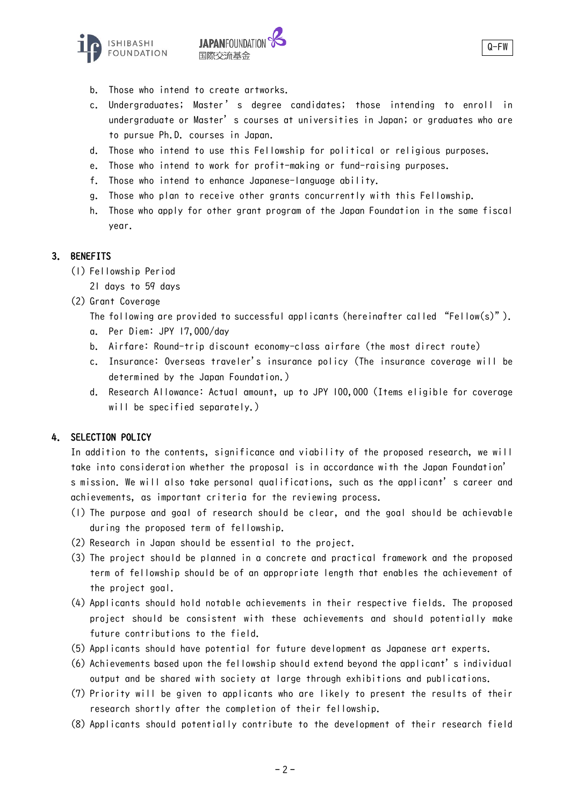

- b. Those who intend to create artworks.
- c. Undergraduates; Master ' s degree candidates; those intending to enroll in undergraduate or Master's courses at universities in Japan; or graduates who are to pursue Ph.D. courses in Japan.
- d. Those who intend to use this Fellowship for political or religious purposes.
- e. Those who intend to work for profit-making or fund-raising purposes.
- f. Those who intend to enhance Japanese-language ability.
- g. Those who plan to receive other grants concurrently with this Fellowship.
- h. Those who apply for other grant program of the Japan Foundation in the same fiscal year.

### 3. BENEFITS

(1) Fellowship Period

21 days to 59 days

- (2) Grant Coverage
	- The following are provided to successful applicants (hereinafter called "Fellow(s)").
	- a. Per Diem: JPY 17,000/day
	- b. Airfare: Round-trip discount economy-class airfare (the most direct route)
	- c. Insurance: Overseas traveler's insurance policy (The insurance coverage will be determined by the Japan Foundation.)
	- d. Research Allowance: Actual amount, up to JPY 100,000 (Items eligible for coverage will be specified separately.)

### 4. SELECTION POLICY

In addition to the contents, significance and viability of the proposed research, we will take into consideration whether the proposal is in accordance with the Japan Foundation' s mission. We will also take personal qualifications, such as the applicant's career and achievements, as important criteria for the reviewing process.

- (1) The purpose and goal of research should be clear, and the goal should be achievable during the proposed term of fellowship.
- (2) Research in Japan should be essential to the project.
- (3) The project should be planned in a concrete and practical framework and the proposed term of fellowship should be of an appropriate length that enables the achievement of the project goal.
- (4) Applicants should hold notable achievements in their respective fields. The proposed project should be consistent with these achievements and should potentially make future contributions to the field.
- (5) Applicants should have potential for future development as Japanese art experts.
- (6) Achievements based upon the fellowship should extend beyond the applicant's individual output and be shared with society at large through exhibitions and publications.
- (7) Priority will be given to applicants who are likely to present the results of their research shortly after the completion of their fellowship.
- (8) Applicants should potentially contribute to the development of their research field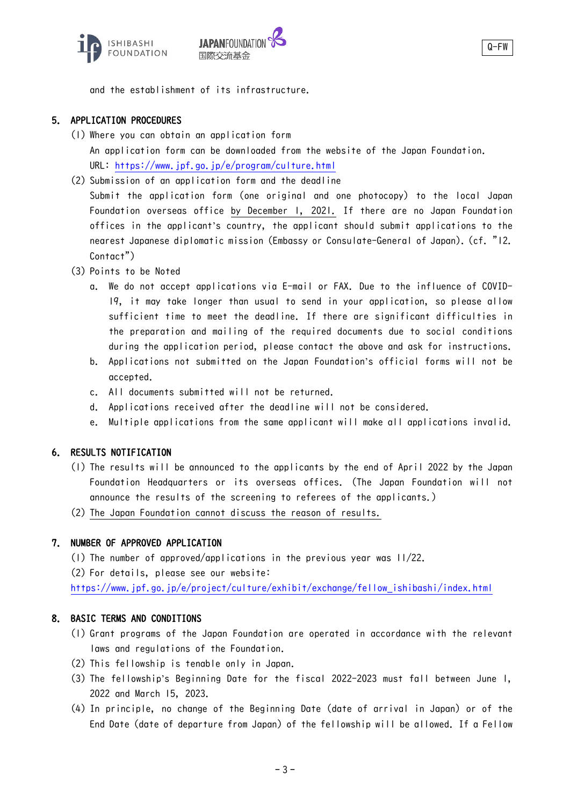



and the establishment of its infrastructure.

### 5. APPLICATION PROCEDURES

- (1) Where you can obtain an application form An application form can be downloaded from the website of the Japan Foundation. URL:<https://www.jpf.go.jp/e/program/culture.html>
- (2) Submission of an application form and the deadline

Submit the application form (one original and one photocopy) to the local Japan Foundation overseas office by December 1, 2021. If there are no Japan Foundation offices in the applicant's country, the applicant should submit applications to the nearest Japanese diplomatic mission (Embassy or Consulate-General of Japan). (cf. "12. Contact")

Q-FW

- (3) Points to be Noted
	- a. We do not accept applications via E-mail or FAX. Due to the influence of COVID-19, it may take longer than usual to send in your application, so please allow sufficient time to meet the deadline. If there are significant difficulties in the preparation and mailing of the required documents due to social conditions during the application period, please contact the above and ask for instructions.
	- b. Applications not submitted on the Japan Foundation's official forms will not be accepted.
	- c. All documents submitted will not be returned.
	- d. Applications received after the deadline will not be considered.
	- e. Multiple applications from the same applicant will make all applications invalid.

### 6. RESULTS NOTIFICATION

- (1) The results will be announced to the applicants by the end of April 2022 by the Japan Foundation Headquarters or its overseas offices. (The Japan Foundation will not announce the results of the screening to referees of the applicants.)
- (2) The Japan Foundation cannot discuss the reason of results.

### 7. NUMBER OF APPROVED APPLICATION

(1) The number of approved/applications in the previous year was 11/22. (2) For details, please see our website: [https://www.jpf.go.jp/e/project/culture/exhibit/exchange/fellow\\_ishibashi/index.html](https://www.jpf.go.jp/e/project/culture/exhibit/exchange/fellow_ishibashi/index.html)

#### 8. BASIC TERMS AND CONDITIONS

- (1) Grant programs of the Japan Foundation are operated in accordance with the relevant laws and regulations of the Foundation.
- (2) This fellowship is tenable only in Japan.
- (3) The fellowship's Beginning Date for the fiscal 2022-2023 must fall between June 1, 2022 and March 15, 2023.
- (4) In principle, no change of the Beginning Date (date of arrival in Japan) or of the End Date (date of departure from Japan) of the fellowship will be allowed. If a Fellow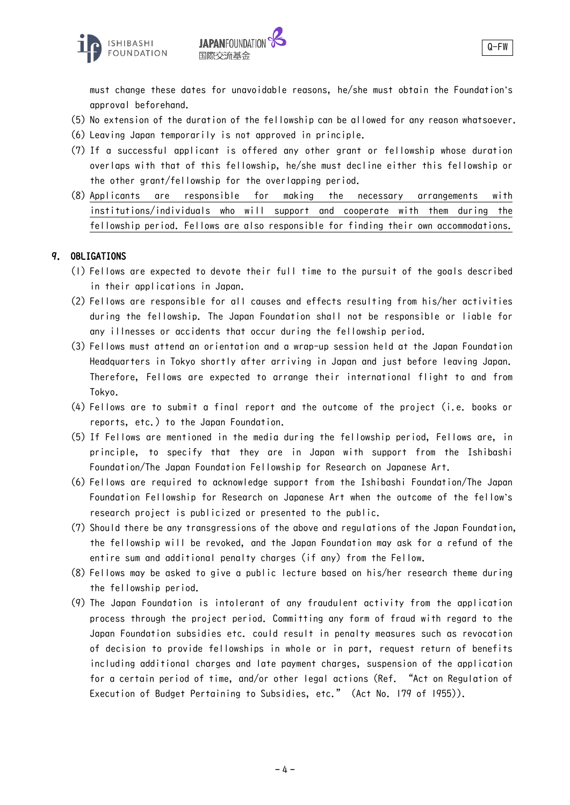

must change these dates for unavoidable reasons, he/she must obtain the Foundation's approval beforehand.

- (5) No extension of the duration of the fellowship can be allowed for any reason whatsoever.
- (6) Leaving Japan temporarily is not approved in principle.
- (7) If a successful applicant is offered any other grant or fellowship whose duration overlaps with that of this fellowship, he/she must decline either this fellowship or the other grant/fellowship for the overlapping period.
- (8) Applicants are responsible for making the necessary arrangements with institutions/individuals who will support and cooperate with them during the fellowship period. Fellows are also responsible for finding their own accommodations.

### 9. OBLIGATIONS

- (1) Fellows are expected to devote their full time to the pursuit of the goals described in their applications in Japan.
- (2) Fellows are responsible for all causes and effects resulting from his/her activities during the fellowship. The Japan Foundation shall not be responsible or liable for any illnesses or accidents that occur during the fellowship period.
- (3) Fellows must attend an orientation and a wrap-up session held at the Japan Foundation Headquarters in Tokyo shortly after arriving in Japan and just before leaving Japan. Therefore, Fellows are expected to arrange their international flight to and from Tokyo.
- (4) Fellows are to submit a final report and the outcome of the project (i.e. books or reports, etc.) to the Japan Foundation.
- (5) If Fellows are mentioned in the media during the fellowship period, Fellows are, in principle, to specify that they are in Japan with support from the Ishibashi Foundation/The Japan Foundation Fellowship for Research on Japanese Art.
- (6) Fellows are required to acknowledge support from the Ishibashi Foundation/The Japan Foundation Fellowship for Research on Japanese Art when the outcome of the fellow's research project is publicized or presented to the public.
- (7) Should there be any transgressions of the above and regulations of the Japan Foundation, the fellowship will be revoked, and the Japan Foundation may ask for a refund of the entire sum and additional penalty charges (if any) from the Fellow.
- (8) Fellows may be asked to give a public lecture based on his/her research theme during the fellowship period.
- (9) The Japan Foundation is intolerant of any fraudulent activity from the application process through the project period. Committing any form of fraud with regard to the Japan Foundation subsidies etc. could result in penalty measures such as revocation of decision to provide fellowships in whole or in part, request return of benefits including additional charges and late payment charges, suspension of the application for a certain period of time, and/or other legal actions (Ref. "Act on Regulation of Execution of Budget Pertaining to Subsidies, etc." (Act No. 179 of 1955)).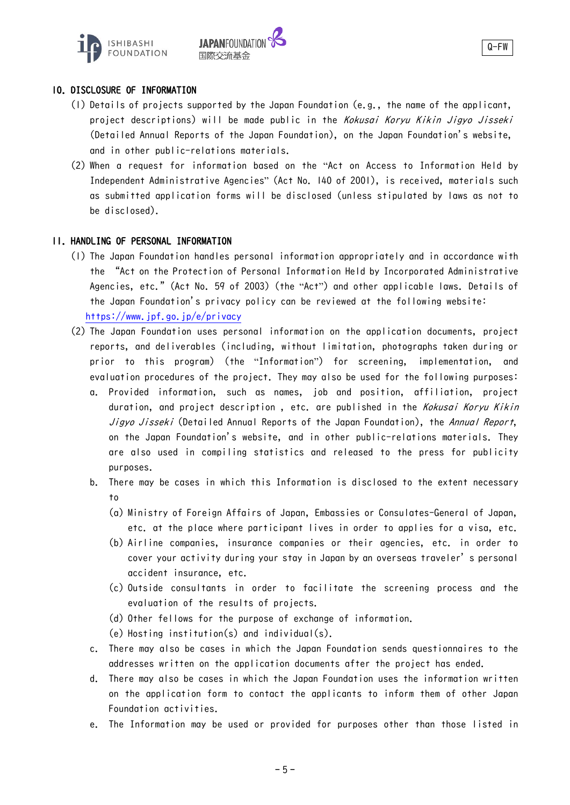

### 10. DISCLOSURE OF INFORMATION

- (1) Details of projects supported by the Japan Foundation (e.g., the name of the applicant, project descriptions) will be made public in the Kokusai Koryu Kikin Jigyo Jisseki (Detailed Annual Reports of the Japan Foundation), on the Japan Foundation's website, and in other public-relations materials.
- (2) When a request for information based on the "Act on Access to Information Held by Independent Administrative Agencies" (Act No. 140 of 2001), is received, materials such as submitted application forms will be disclosed (unless stipulated by laws as not to be disclosed).

### 11. HANDLING OF PERSONAL INFORMATION

- (1) The Japan Foundation handles personal information appropriately and in accordance with the "Act on the Protection of Personal Information Held by Incorporated Administrative Agencies, etc." (Act No. 59 of 2003) (the "Act") and other applicable laws. Details of the Japan Foundation's privacy policy can be reviewed at the following website: <https://www.jpf.go.jp/e/privacy>
- (2) The Japan Foundation uses personal information on the application documents, project reports, and deliverables (including, without limitation, photographs taken during or prior to this program) (the "Information") for screening, implementation, and evaluation procedures of the project. They may also be used for the following purposes:
	- a. Provided information, such as names, job and position, affiliation, project duration, and project description, etc. are published in the Kokusai Koryu Kikin Jigyo Jisseki (Detailed Annual Reports of the Japan Foundation), the Annual Report, on the Japan Foundation's website, and in other public-relations materials. They are also used in compiling statistics and released to the press for publicity purposes.
	- b. There may be cases in which this Information is disclosed to the extent necessary to
		- (a) Ministry of Foreign Affairs of Japan, Embassies or Consulates-General of Japan, etc. at the place where participant lives in order to applies for a visa, etc.
		- (b) Airline companies, insurance companies or their agencies, etc. in order to cover your activity during your stay in Japan by an overseas traveler's personal accident insurance, etc.
		- (c) Outside consultants in order to facilitate the screening process and the evaluation of the results of projects.
		- (d) Other fellows for the purpose of exchange of information.
		- (e) Hosting institution(s) and individual(s).
	- c. There may also be cases in which the Japan Foundation sends questionnaires to the addresses written on the application documents after the project has ended.
	- d. There may also be cases in which the Japan Foundation uses the information written on the application form to contact the applicants to inform them of other Japan Foundation activities.
	- e. The Information may be used or provided for purposes other than those listed in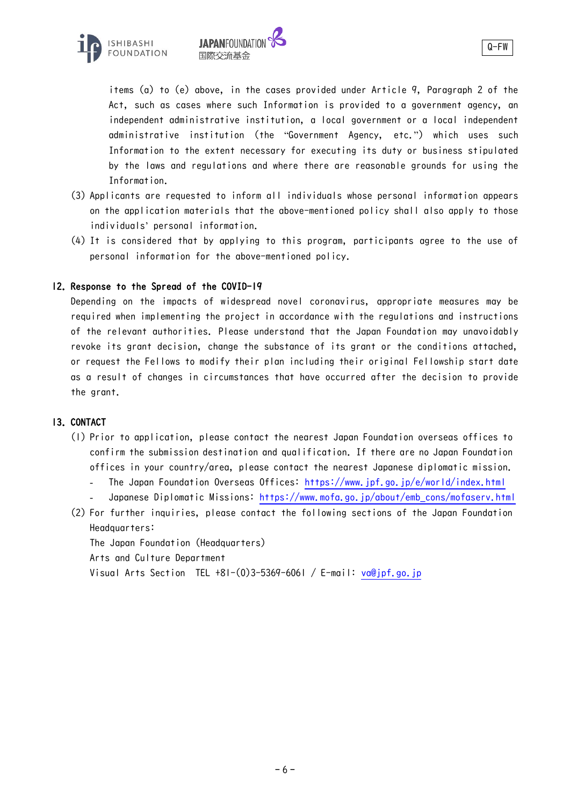



items (a) to (e) above, in the cases provided under Article 9, Paragraph 2 of the Act, such as cases where such Information is provided to a government agency, an independent administrative institution, a local government or a local independent administrative institution (the "Government Agency, etc.") which uses such Information to the extent necessary for executing its duty or business stipulated by the laws and regulations and where there are reasonable grounds for using the Information.

- (3) Applicants are requested to inform all individuals whose personal information appears on the application materials that the above-mentioned policy shall also apply to those individuals' personal information.
- (4) It is considered that by applying to this program, participants agree to the use of personal information for the above-mentioned policy.

### 12. Response to the Spread of the COVID-19

Depending on the impacts of widespread novel coronavirus, appropriate measures may be required when implementing the project in accordance with the regulations and instructions of the relevant authorities. Please understand that the Japan Foundation may unavoidably revoke its grant decision, change the substance of its grant or the conditions attached, or request the Fellows to modify their plan including their original Fellowship start date as a result of changes in circumstances that have occurred after the decision to provide the grant.

### 13. CONTACT

- (1) Prior to application, please contact the nearest Japan Foundation overseas offices to confirm the submission destination and qualification. If there are no Japan Foundation offices in your country/area, please contact the nearest Japanese diplomatic mission.
	- The Japan Foundation Overseas Offices: https://www.jpf.go.jp/e/world/index.html
	- Japanese Diplomatic Missions: https://www.mofa.go.jp/about/emb\_cons/mofaserv.html
- (2) For further inquiries, please contact the following sections of the Japan Foundation Headquarters:

The Japan Foundation (Headquarters) Arts and Culture Department Visual Arts Section TEL +81-(0)3-5369-6061 / E-mail: [va@jpf.go.jp](mailto:va@jpf.go.jp)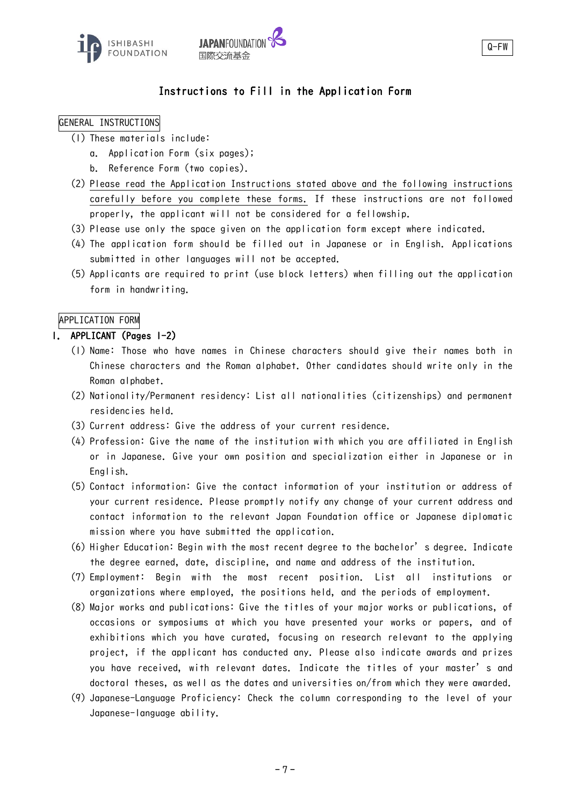

### Instructions to Fill in the Application Form

### GENERAL INSTRUCTIONS

- (1) These materials include:
	- a. Application Form (six pages);
	- b. Reference Form (two copies).
- (2) Please read the Application Instructions stated above and the following instructions carefully before you complete these forms. If these instructions are not followed properly, the applicant will not be considered for a fellowship.
- (3) Please use only the space given on the application form except where indicated.
- (4) The application form should be filled out in Japanese or in English. Applications submitted in other languages will not be accepted.
- (5) Applicants are required to print (use block letters) when filling out the application form in handwriting.

### APPLICATION FORM

### 1. APPLICANT (Pages 1-2)

- (1) Name: Those who have names in Chinese characters should give their names both in Chinese characters and the Roman alphabet. Other candidates should write only in the Roman alphabet.
- (2) Nationality/Permanent residency: List all nationalities (citizenships) and permanent residencies held.
- (3) Current address: Give the address of your current residence.
- (4) Profession: Give the name of the institution with which you are affiliated in English or in Japanese. Give your own position and specialization either in Japanese or in English.
- (5) Contact information: Give the contact information of your institution or address of your current residence. Please promptly notify any change of your current address and contact information to the relevant Japan Foundation office or Japanese diplomatic mission where you have submitted the application.
- (6) Higher Education: Begin with the most recent degree to the bachelor's degree. Indicate the degree earned, date, discipline, and name and address of the institution.
- (7) Employment: Begin with the most recent position. List all institutions or organizations where employed, the positions held, and the periods of employment.
- (8) Major works and publications: Give the titles of your major works or publications, of occasions or symposiums at which you have presented your works or papers, and of exhibitions which you have curated, focusing on research relevant to the applying project, if the applicant has conducted any. Please also indicate awards and prizes you have received, with relevant dates. Indicate the titles of your master's and doctoral theses, as well as the dates and universities on/from which they were awarded.
- (9) Japanese-Language Proficiency: Check the column corresponding to the level of your Japanese-language ability.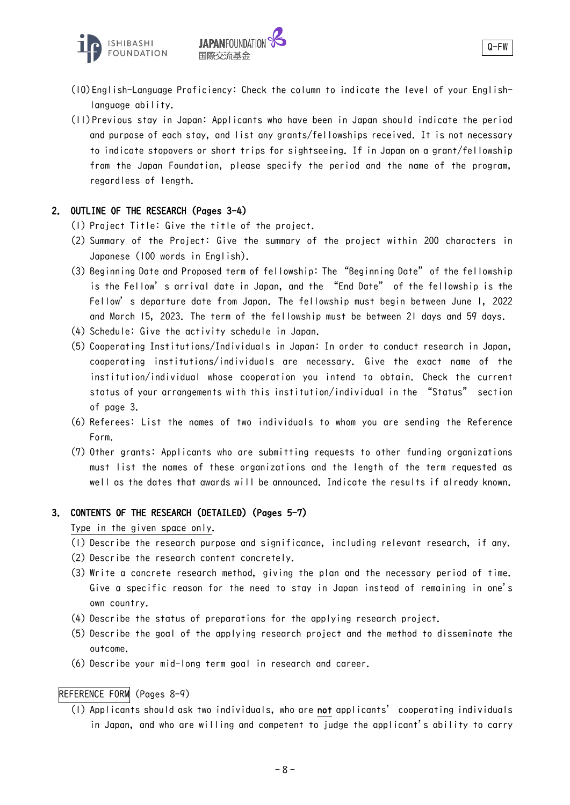



- (10)English-Language Proficiency: Check the column to indicate the level of your Englishlanguage ability.
- (11)Previous stay in Japan: Applicants who have been in Japan should indicate the period and purpose of each stay, and list any grants/fellowships received. It is not necessary to indicate stopovers or short trips for sightseeing. If in Japan on a grant/fellowship from the Japan Foundation, please specify the period and the name of the program, regardless of length.

### 2. OUTLINE OF THE RESEARCH (Pages 3-4)

- (1) Project Title: Give the title of the project.
- (2) Summary of the Project: Give the summary of the project within 200 characters in Japanese (100 words in English).
- (3) Beginning Date and Proposed term of fellowship: The "Beginning Date"of the fellowship is the Fellow's arrival date in Japan, and the "End Date" of the fellowship is the Fellow's departure date from Japan. The fellowship must begin between June 1, 2022 and March 15, 2023. The term of the fellowship must be between 21 days and 59 days.
- (4) Schedule: Give the activity schedule in Japan.
- (5) Cooperating Institutions/Individuals in Japan: In order to conduct research in Japan, cooperating institutions/individuals are necessary. Give the exact name of the institution/individual whose cooperation you intend to obtain. Check the current status of your arrangements with this institution/individual in the "Status" section of page 3.
- (6) Referees: List the names of two individuals to whom you are sending the Reference Form.
- (7) Other grants: Applicants who are submitting requests to other funding organizations must list the names of these organizations and the length of the term requested as well as the dates that awards will be announced. Indicate the results if already known.

### 3. CONTENTS OF THE RESEARCH (DETAILED) (Pages 5-7)

Type in the given space only.

- (1) Describe the research purpose and significance, including relevant research, if any.
- (2) Describe the research content concretely.
- (3) Write a concrete research method, giving the plan and the necessary period of time. Give a specific reason for the need to stay in Japan instead of remaining in one's own country.
- (4) Describe the status of preparations for the applying research project.
- (5) Describe the goal of the applying research project and the method to disseminate the outcome.
- (6) Describe your mid-long term goal in research and career.

#### REFERENCE FORM (Pages 8-9)

(1) Applicants should ask two individuals, who are not applicants' cooperating individuals in Japan, and who are willing and competent to judge the applicant's ability to carry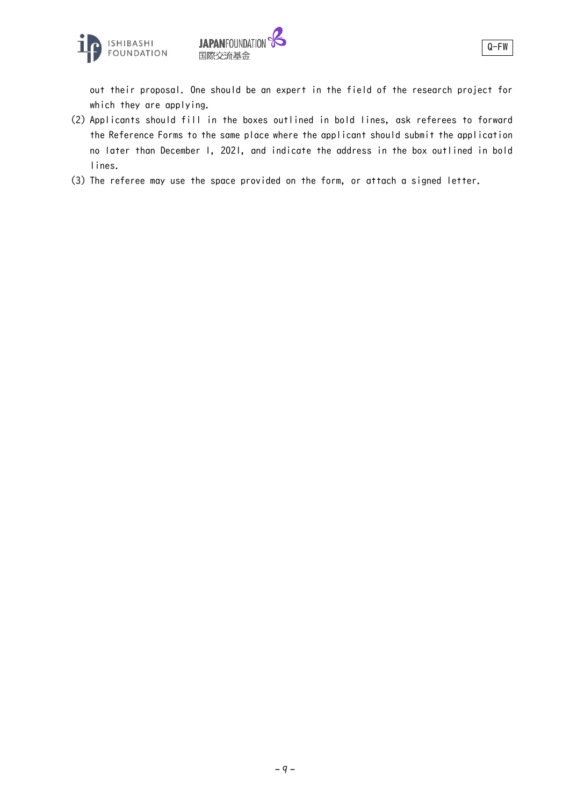



out their proposal. One should be an expert in the field of the research project for which they are applying.

- (2) Applicants should fill in the boxes outlined in bold lines, ask referees to forward the Reference Forms to the same place where the applicant should submit the application no later than December 1, 2021, and indicate the address in the box outlined in bold lines.
- (3) The referee may use the space provided on the form, or attach a signed letter.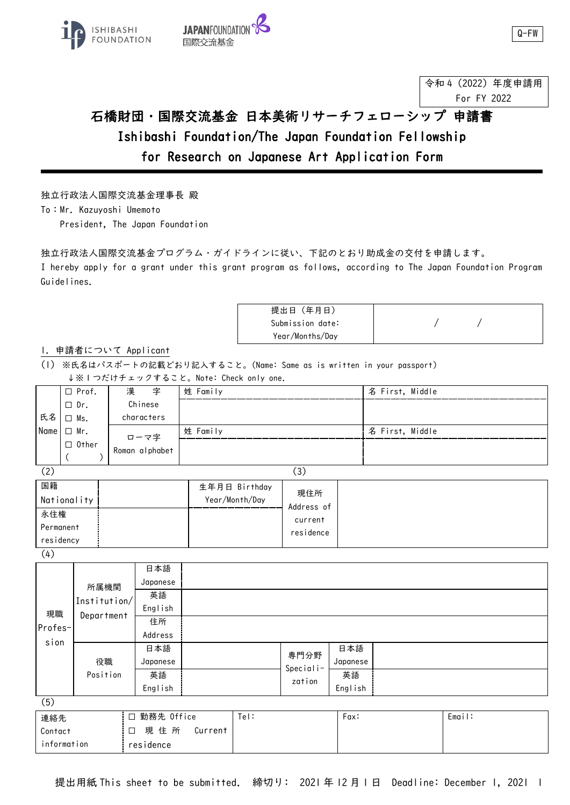

### 令和 4(2022)年度申請用 For FY 2022

# 石橋財団・国際交流基金 日本美術リサーチフェローシップ 申請書

Ishibashi Foundation/The Japan Foundation Fellowship

for Research on Japanese Art Application Form

独立行政法人国際交流基金理事長 殿

**SHIBASHI FOUNDATION** 

To:Mr. Kazuyoshi Umemoto

President, The Japan Foundation

独立行政法人国際交流基金プログラム・ガイドラインに従い、下記のとおり助成金の交付を申請します。

I hereby apply for a grant under this grant program as follows, according to The Japan Foundation Program Guidelines.

| 提出日(年月日)         |  |  |
|------------------|--|--|
| Submission date: |  |  |
| Year/Months/Day  |  |  |

### 1. 申請者について Applicant

(1) ※氏名はパスポートの記載どおり記入すること。(Name: Same as is written in your passport) ↓※1つだけチェックすること。Note: Check only one.

| $\square$ Prof. | 漢<br>字         | 姓 Family | 名 First, Middle |
|-----------------|----------------|----------|-----------------|
| $\Box$ Dr.      | Chinese        |          |                 |
| 氏名   □ Ms.      | characters     |          |                 |
| $Name \Box Mr.$ | ローマ字           | 姓 Family | 名 First, Middle |
| $\Box$ Other    | Roman alphabet |          |                 |
|                 |                |          |                 |

| (2)         |                | (3)        |
|-------------|----------------|------------|
| 国籍          | 生年月日 Birthday  | 現住所        |
| Nationality | Year/Month/Day | Address of |
| 永住権         |                | current    |
| Permanent   |                | residence  |
| residency   |                |            |

 $(4)$ 

|         |                | 日本語        |         |                   |          |        |  |
|---------|----------------|------------|---------|-------------------|----------|--------|--|
|         | 所属機関           | Japanese   |         |                   |          |        |  |
|         | Institution/   | 英語         |         |                   |          |        |  |
| 現職      |                | English    |         |                   |          |        |  |
| Profes- | Department     | 住所         |         |                   |          |        |  |
|         |                | Address    |         |                   |          |        |  |
| sion    |                | 日本語        |         |                   | 日本語      |        |  |
|         | 役職<br>Position | Japanese   |         | 専門分野<br>Speciali- | Japanese |        |  |
|         |                | 英語         |         | zation            | 英語       |        |  |
|         |                | English    |         |                   | English  |        |  |
| (5)     |                |            |         |                   |          |        |  |
| 連絡牛     | $\Box$         | 勤務先 Office | $Te1$ : |                   | Fax:     | Email: |  |

| 連絡先         | 勤務先 Office<br>$\blacksquare$ | $Te$ : | Fax: | Emai |
|-------------|------------------------------|--------|------|------|
| Contact     | 現 住 所<br>Current             |        |      |      |
| information | residence                    |        |      |      |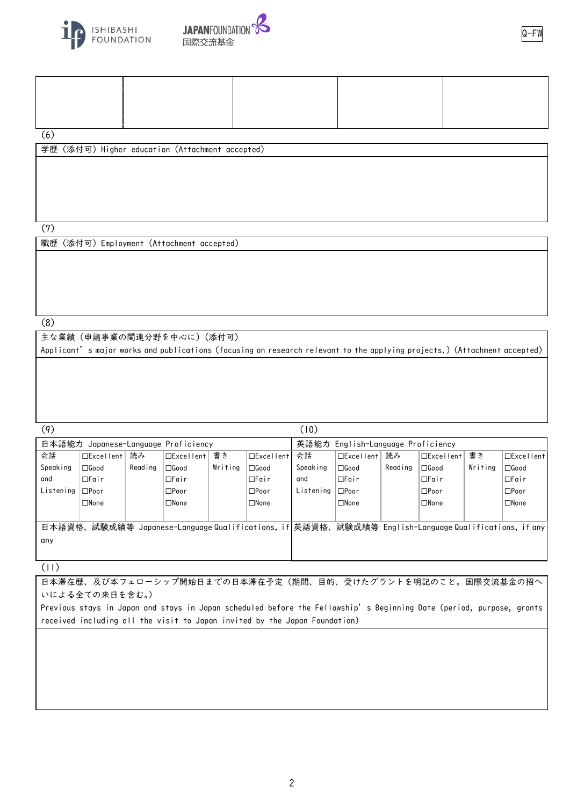



Q-FW

(6)

学歴(添付可)Higher education (Attachment accepted)

(7)

### 職歴(添付可)Employment (Attachment accepted)

(8)

主な業績(申請事業の関連分野を中心に)(添付可)

Applicant's major works and publications (focusing on research relevant to the applying projects.) (Attachment accepted)

| (9)                                    | (10)             |         |                  |         |                                   |           |                  |         |                     |         |                                                                                                     |
|----------------------------------------|------------------|---------|------------------|---------|-----------------------------------|-----------|------------------|---------|---------------------|---------|-----------------------------------------------------------------------------------------------------|
| 日本語能力<br>Japanese-Language Proficiency |                  |         |                  |         | 英語能力 English-Language Proficiency |           |                  |         |                     |         |                                                                                                     |
| 会話                                     | $\Box$ Excellent | 読み      | $\Box$ Excellent | 書き      | $\Box$ Excellent                  | 会話        | $\Box$ Excellent | 読み      | <b>I</b> ⊡Excellent | 書き      | □Excellent                                                                                          |
| Speaking                               | $\Box$ Good      | Reading | $\Box$ Good      | Writing | $\square$ Good                    | Speaking  | $\Box$ Good      | Reading | $\Box$ Good         | Writing | $\square$ Good                                                                                      |
| and                                    | $\Box$ Fair      |         | $\Box$ Fair      |         | $\Box$ Fair                       | and       | $\Box$ Fair      |         | $\Box$ Fair         |         | $\Box$ Fair                                                                                         |
| Listening                              | $\square$ Poor   |         | $\square$ Poor   |         | $\square$ Poor                    | Listening | $\square$ Poor   |         | $\square$ Poor      |         | $\square$ Poor                                                                                      |
|                                        | $\Box$ None      |         | $\Box$ None      |         | $\Box$ None                       |           | $\Box$ None      |         | $\Box$ None         |         | $\Box$ None                                                                                         |
|                                        |                  |         |                  |         |                                   |           |                  |         |                     |         |                                                                                                     |
|                                        |                  |         |                  |         |                                   |           |                  |         |                     |         | 日本語資格、試験成績等 Japanese-Language Qualifications, if 英語資格、試験成績等 English-Language Qualifications, if any |
| any                                    |                  |         |                  |         |                                   |           |                  |         |                     |         |                                                                                                     |
|                                        |                  |         |                  |         |                                   |           |                  |         |                     |         |                                                                                                     |
|                                        |                  |         |                  |         |                                   |           |                  |         |                     |         |                                                                                                     |

(11)

日本滞在歴、及び本フェローシップ開始日までの日本滞在予定(期間、目的、受けたグラントを明記のこと。国際交流基金の招へ いによる全ての来日を含む。)

Previous stays in Japan and stays in Japan scheduled before the Fellowship's Beginning Date (period, purpose, grants received including all the visit to Japan invited by the Japan Foundation)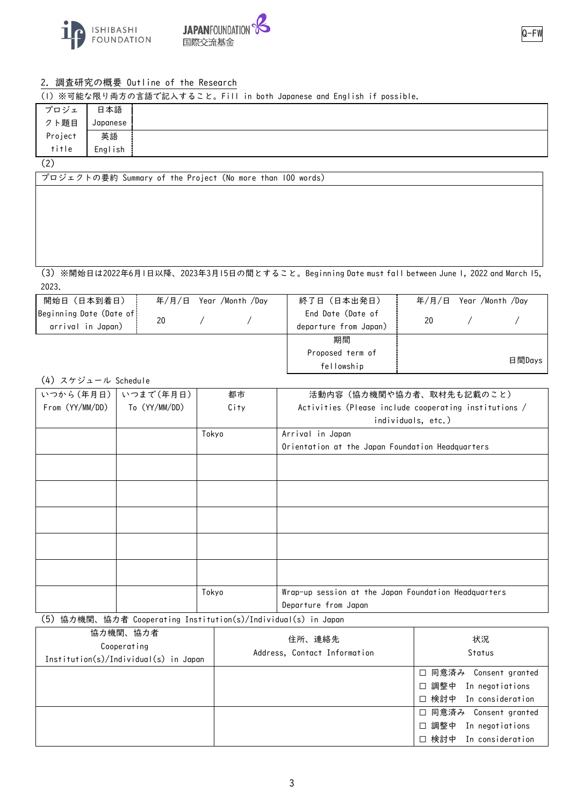



### 2. 調査研究の概要 Outline of the Research

(1) ※可能な限り両方の言語で記入すること。Fill in both Japanese and English if possible.

| プロジェ    | 日本語      |  |
|---------|----------|--|
| クト題目    | Japanese |  |
| Project | 英語       |  |
| title   | English  |  |
| (2)     |          |  |

Q-FW

(2)

プロジェクトの要約 Summary of the Project (No more than 100 words)

### (3) ※開始日は2022年6月1日以降、2023年3月15日の間とすること。Beginning Date must fall between June 1, 2022 and March 15, 2023.

| 開始日(日本到着日)              |    | 年/月/日 Year /Month /Day | 終了日 (日本出発日)           |    | 年/月/日 Year /Month /Day |
|-------------------------|----|------------------------|-----------------------|----|------------------------|
| Beginning Date (Date of |    |                        | End Date (Date of     |    |                        |
| arrival in Japan)       | 20 |                        | departure from Japan) | 20 |                        |
|                         |    |                        | 期間                    |    |                        |
|                         |    |                        | Proposed term of      |    |                        |
|                         |    |                        | fellowship            |    | 日間Days                 |

(4) スケジュール Schedule

| $\langle \cdot \rangle$ $\rightarrow$ $\langle \cdot \rangle$ $\rightarrow$ $\equiv$ $\langle \cdot \rangle$ donous $\langle \cdot \rangle$ |                       |       |                                                       |
|---------------------------------------------------------------------------------------------------------------------------------------------|-----------------------|-------|-------------------------------------------------------|
|                                                                                                                                             | いつから(年月日)   いつまで(年月日) | 都市    | 活動内容(協力機関や協力者、取材先も記載のこと)                              |
| From (YY/MM/DD)                                                                                                                             | To (YY/MM/DD)         | City  | Activities (Please include cooperating institutions / |
|                                                                                                                                             |                       |       | individuals, etc.)                                    |
|                                                                                                                                             |                       | Tokyo | Arrival in Japan                                      |
|                                                                                                                                             |                       |       | Orientation at the Japan Foundation Headquarters      |
|                                                                                                                                             |                       |       |                                                       |
|                                                                                                                                             |                       |       |                                                       |
|                                                                                                                                             |                       |       |                                                       |
|                                                                                                                                             |                       |       |                                                       |
|                                                                                                                                             |                       |       |                                                       |
|                                                                                                                                             |                       |       |                                                       |
|                                                                                                                                             |                       |       |                                                       |
|                                                                                                                                             |                       |       |                                                       |
|                                                                                                                                             |                       |       |                                                       |
|                                                                                                                                             |                       |       |                                                       |
|                                                                                                                                             |                       | Tokyo | Wrap-up session at the Japan Foundation Headquarters  |
|                                                                                                                                             |                       |       | Departure from Japan                                  |

(5) 協力機関、協力者 Cooperating Institution(s)/Individual(s) in Japan

| 協力機関、協力者<br>Cooperating<br>Institution(s)/Individual(s) in Japan | 住所、連絡先<br>Address, Contact Information | 状況<br>Status                                     |
|------------------------------------------------------------------|----------------------------------------|--------------------------------------------------|
|                                                                  |                                        | □ 同意済み Consent granted<br>□ 調整中 In negotiations  |
|                                                                  |                                        | □ 検討中 In consideration<br>□ 同意済み Consent granted |
|                                                                  |                                        | □ 調整中 In negotiations                            |
|                                                                  |                                        | □ 検討中 In consideration                           |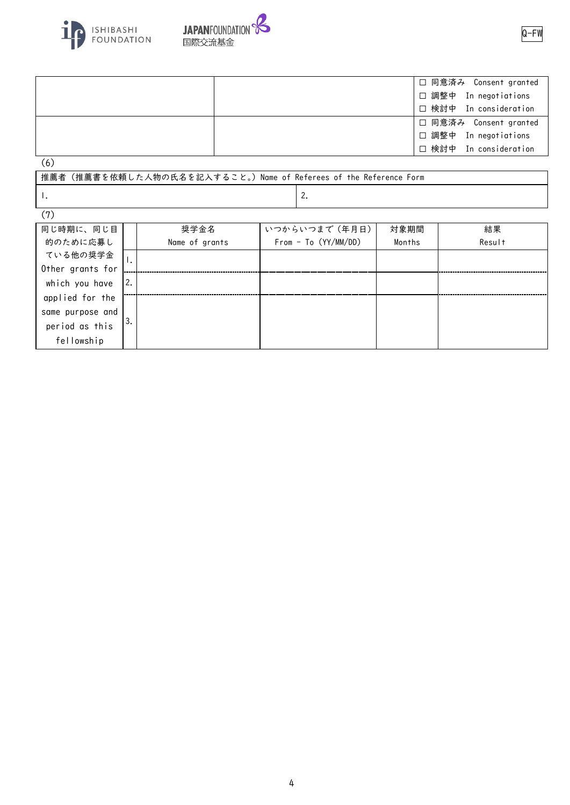





|  | □ 同意済み Consent granted |
|--|------------------------|
|  | □ 調整中 In negotiations  |
|  | □ 検討中 In consideration |
|  | □ 同意済み Consent granted |
|  | □ 調整中 In negotiations  |
|  | □ 検討中 In consideration |

### (6)

| 推薦者(推薦書を依頼した人物の氏名を記入すること。)Name of Referees of the Reference Form |     |                |                |                      |        |        |  |
|------------------------------------------------------------------|-----|----------------|----------------|----------------------|--------|--------|--|
|                                                                  | 2.  |                |                |                      |        |        |  |
| (7)                                                              |     |                |                |                      |        |        |  |
| 同じ時期に、同じ目                                                        |     | 奨学金名           | いつからいつまで (年月日) |                      | 対象期間   | 結果     |  |
| 的のために応募し                                                         |     | Name of grants |                | From - To (YY/MM/DD) | Months | Result |  |
| ている他の奨学金                                                         |     |                |                |                      |        |        |  |
| Other grants for                                                 |     |                |                |                      |        |        |  |
| which you have                                                   | I2. |                |                |                      |        |        |  |
| applied for the                                                  |     |                |                |                      |        |        |  |
| same purpose and                                                 |     |                |                |                      |        |        |  |
| period as this                                                   | 3.  |                |                |                      |        |        |  |
| fellowship                                                       |     |                |                |                      |        |        |  |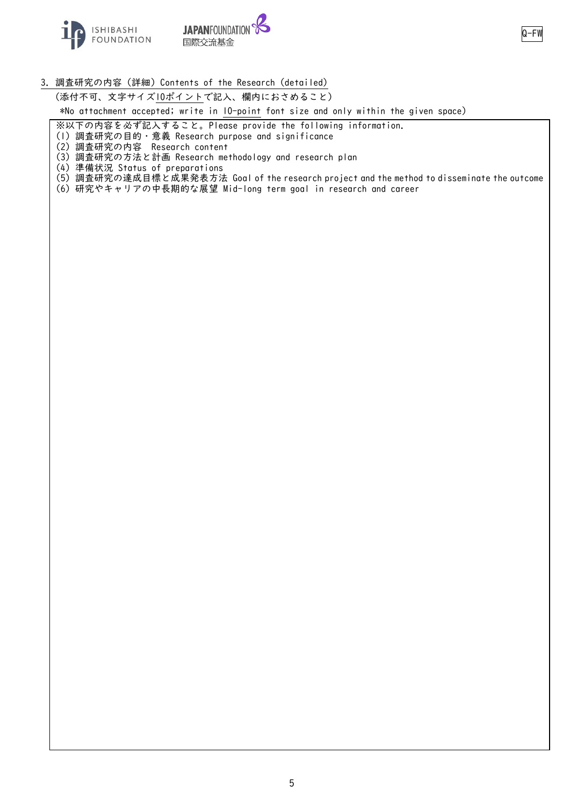



3. 調査研究の内容(詳細)Contents of the Research (detailed)

(添付不可、文字サイズ10ポイントで記入、欄内におさめること)

\*No attachment accepted; write in 10-point font size and only within the given space)

※以下の内容を必ず記入すること。Please provide the following information.

- (1) 調査研究の目的・意義 Research purpose and significance
- (2) 調査研究の内容 Research content
- (3) 調査研究の方法と計画 Research methodology and research plan
- (4) 準備状況 Status of preparations
- (5) 調査研究の達成目標と成果発表方法 Goal of the research project and the method to disseminate the outcome
- (6) 研究やキャリアの中長期的な展望 Mid-long term goal in research and career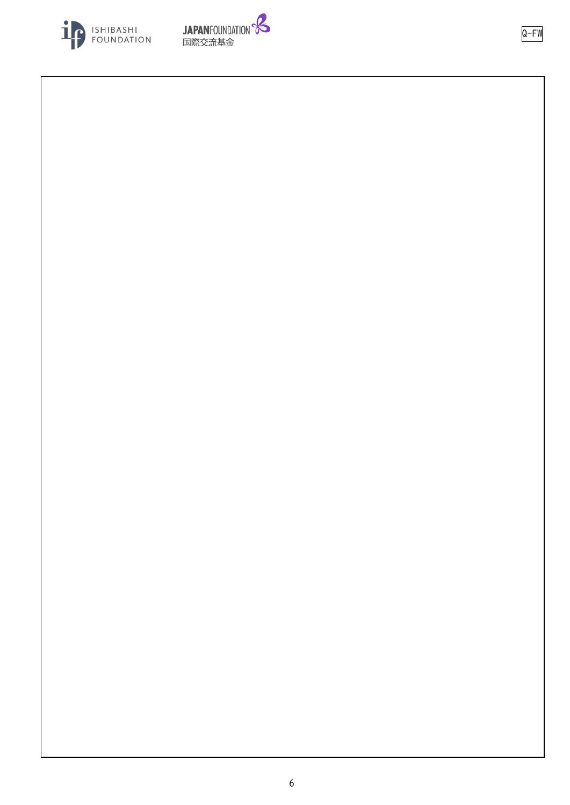



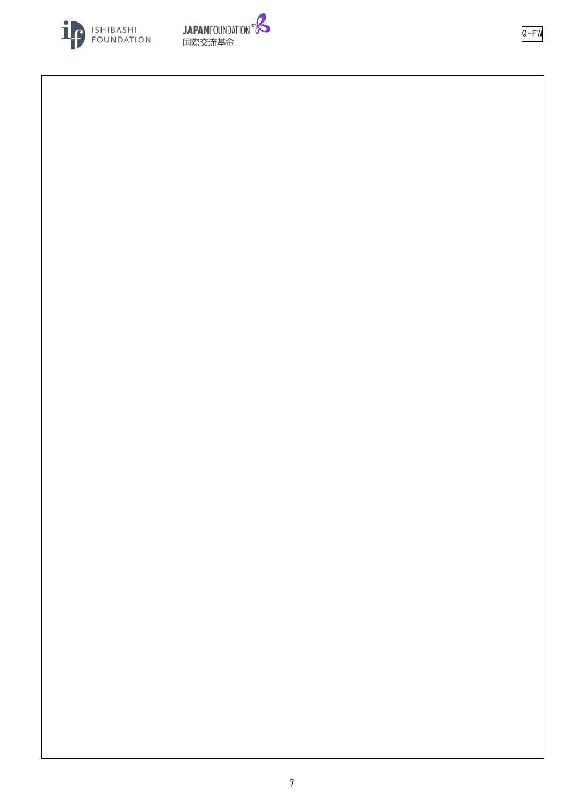



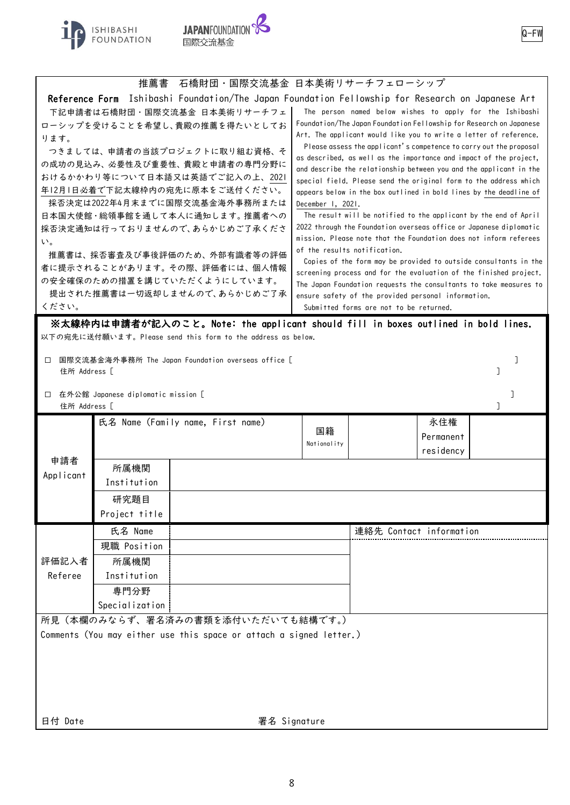





| 推薦書                                                                                              | 石橋財団・国際交流基金 日本美術リサーチフェローシップ                                                                                                              |  |  |  |  |  |
|--------------------------------------------------------------------------------------------------|------------------------------------------------------------------------------------------------------------------------------------------|--|--|--|--|--|
| Reference Form Ishibashi Foundation/The Japan Foundation Fellowship for Research on Japanese Art |                                                                                                                                          |  |  |  |  |  |
| 下記申請者は石橋財団・国際交流基金 日本美術リサーチフェ                                                                     | The person named below wishes to apply for the Ishibashi                                                                                 |  |  |  |  |  |
| ローシップを受けることを希望し、貴殿の推薦を得たいとしてお                                                                    | Foundation/The Japan Foundation Fellowship for Research on Japanese                                                                      |  |  |  |  |  |
| ります。                                                                                             | Art. The applicant would like you to write a letter of reference.                                                                        |  |  |  |  |  |
| つきましては、申請者の当該プロジェクトに取り組む資格、そ                                                                     | Please assess the applicant's competence to carry out the proposal                                                                       |  |  |  |  |  |
| の成功の見込み、必要性及び重要性、貴殿と申請者の専門分野に                                                                    | as described, as well as the importance and impact of the project,<br>and describe the relationship between you and the applicant in the |  |  |  |  |  |
| おけるかかわり等について日本語又は英語でご記入の上、2021                                                                   | special field. Please send the original form to the address which                                                                        |  |  |  |  |  |
| 年12月1日必着で下記太線枠内の宛先に原本をご送付ください。                                                                   | appears below in the box outlined in bold lines by the deadline of                                                                       |  |  |  |  |  |
| 採否決定は2022年4月末までに国際交流基金海外事務所または                                                                   | December 1, 2021.                                                                                                                        |  |  |  |  |  |
| 日本国大使館・総領事館を通して本人に通知します。推薦者への                                                                    | The result will be notified to the applicant by the end of April                                                                         |  |  |  |  |  |
| 採否決定通知は行っておりませんので、あらかじめご了承くださ                                                                    | 2022 through the Foundation overseas office or Japanese diplomatic                                                                       |  |  |  |  |  |
| $\mathcal{L}^{\lambda}$                                                                          | mission. Please note that the Foundation does not inform referees                                                                        |  |  |  |  |  |
| 推薦書は、採否審査及び事後評価のため、外部有識者等の評価                                                                     | of the results notification.                                                                                                             |  |  |  |  |  |
| 者に提示されることがあります。その際、評価者には、個人情報                                                                    | Copies of the form may be provided to outside consultants in the<br>screening process and for the evaluation of the finished project.    |  |  |  |  |  |
| の安全確保のための措置を講じていただくようにしています。                                                                     | The Japan Foundation requests the consultants to take measures to                                                                        |  |  |  |  |  |
| 提出された推薦書は一切返却しませんので、あらかじめご了承                                                                     | ensure safety of the provided personal information.                                                                                      |  |  |  |  |  |
| ください。                                                                                            | Submitted forms are not to be returned.                                                                                                  |  |  |  |  |  |
| ※太線枠内は申請者が記入のこと。Note: the applicant should fill in boxes outlined in bold lines.                 |                                                                                                                                          |  |  |  |  |  |
| 以下の宛先に送付願います。Please send this form to the address as below.                                      |                                                                                                                                          |  |  |  |  |  |
|                                                                                                  |                                                                                                                                          |  |  |  |  |  |
| 国際交流基金海外事務所 The Japan Foundation overseas office [<br>П                                          |                                                                                                                                          |  |  |  |  |  |

|                   | 国際父流基金海外事務所 The Japan Foundation overseas office L<br>住所 Address [ |                                   |                   |                         |           |  |  |
|-------------------|--------------------------------------------------------------------|-----------------------------------|-------------------|-------------------------|-----------|--|--|
| □<br>住所 Address [ | 在外公館 Japanese diplomatic mission [                                 |                                   |                   |                         |           |  |  |
|                   |                                                                    | 氏名 Name (Family name, First name) | 国籍<br>Nationality |                         | 永住権       |  |  |
| 申請者<br>Applicant  |                                                                    |                                   |                   |                         | Permanent |  |  |
|                   |                                                                    |                                   |                   |                         | residency |  |  |
|                   | 所属機関                                                               |                                   |                   |                         |           |  |  |
|                   | Institution                                                        |                                   |                   |                         |           |  |  |
|                   | 研究題目                                                               |                                   |                   |                         |           |  |  |
|                   | Project title                                                      |                                   |                   |                         |           |  |  |
|                   | 氏名 Name                                                            |                                   |                   | 連絡先 Contact information |           |  |  |
|                   | 現職 Position                                                        |                                   |                   |                         |           |  |  |
| 評価記入者             | 所属機関                                                               |                                   |                   |                         |           |  |  |
| Referee           | Institution                                                        |                                   |                   |                         |           |  |  |
|                   | 専門分野                                                               |                                   |                   |                         |           |  |  |
|                   | Specialization                                                     |                                   |                   |                         |           |  |  |
|                   |                                                                    | 所見(本欄のみならず、署名済みの書類を添付いただいても結構です。) |                   |                         |           |  |  |

Comments (You may either use this space or attach a signed letter.)

日付 Date 署名 Signature